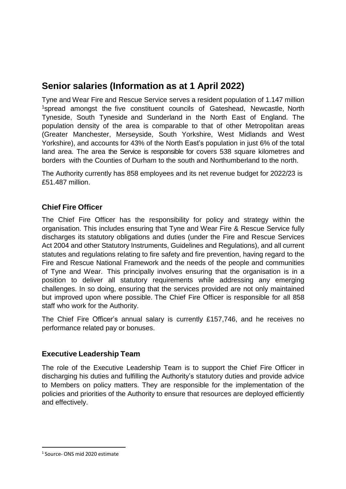# **Senior salaries (Information as at 1 April 2022)**

Tyne and Wear Fire and Rescue Service serves a resident population of 1.147 million <sup>1</sup>spread amongst the five constituent councils of [Gateshead,](http://www.gateshead.gov.uk/) [Newcastle,](http://www.newcastle.gov.uk/) [North](http://www.northtyneside.gov.uk/) [Tyneside,](http://www.northtyneside.gov.uk/) South [Tyneside](http://www.s-tyneside-mbc.gov.uk/) and [Sunderland](http://www.sunderland.gov.uk/) in the North East of England. The population density of the area is comparable to that of other Metropolitan areas (Greater [Manchester,](http://www.manchesterfire.gov.uk/) [Merseyside,](http://www.merseyfire.gov.uk/) South [Yorkshire,](http://www.syfire.org.uk/) West [Midlands](http://www.wmfs.net/) and [West](http://www.westyorksfire.gov.uk/) [Yorkshire\)](http://www.westyorksfire.gov.uk/), and accounts for 43% of the North East's population in just 6% of the total land area. The area the Service is responsible for covers 538 square kilometres and borders with the Counties of Durham to the south and Northumberland to the north.

The Authority currently has 858 employees and its net revenue budget for 2022/23 is £51.487 million.

## **Chief Fire Officer**

The Chief Fire Officer has the responsibility for policy and strategy within the organisation. This includes ensuring that Tyne and Wear Fire & Rescue Service fully discharges its statutory obligations and duties (under the Fire and Rescue Services Act 2004 and other Statutory Instruments, Guidelines and Regulations), and all current statutes and regulations relating to fire safety and fire prevention, having regard to the Fire and Rescue National Framework and the needs of the people and communities of Tyne and Wear. This principally involves ensuring that the organisation is in a position to deliver all statutory requirements while addressing any emerging challenges. In so doing, ensuring that the services provided are not only maintained but improved upon where possible. The Chief Fire Officer is responsible for all 858 staff who work for the Authority.

The Chief Fire Officer's annual salary is currently £157,746, and he receives no performance related pay or bonuses.

#### **Executive Leadership Team**

The role of the Executive Leadership Team is to support the Chief Fire Officer in discharging his duties and fulfilling the Authority's statutory duties and provide advice to Members on policy matters. They are responsible for the implementation of the policies and priorities of the Authority to ensure that resources are deployed efficiently and effectively.

<sup>1</sup> Source- ONS mid 2020 estimate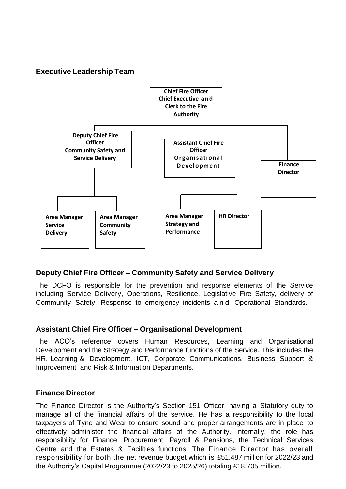## **Executive Leadership Team**



## **Deputy Chief Fire Officer – Community Safety and Service Delivery**

The DCFO is responsible for the prevention and response elements of the Service including Service Delivery, Operations, Resilience, Legislative Fire Safety, delivery of Community Safety, Response to emergency incidents and Operational Standards.

#### **Assistant Chief Fire Officer – Organisational Development**

The ACO's reference covers Human Resources, Learning and Organisational Development and the Strategy and Performance functions of the Service. This includes the HR, Learning & Development, ICT, Corporate Communications, Business Support & Improvement and Risk & Information Departments.

#### **Finance Director**

The Finance Director is the Authority's Section 151 Officer, having a Statutory duty to manage all of the financial affairs of the service. He has a responsibility to the local taxpayers of Tyne and Wear to ensure sound and proper arrangements are in place to effectively administer the financial affairs of the Authority. Internally, the role has responsibility for Finance, Procurement, Payroll & Pensions, the Technical Services Centre and the Estates & Facilities functions. The Finance Director has overall responsibility for both the net revenue budget which is £51.487 million for 2022/23 and the Authority's Capital Programme (2022/23 to 2025/26) totaling £18.705 million.